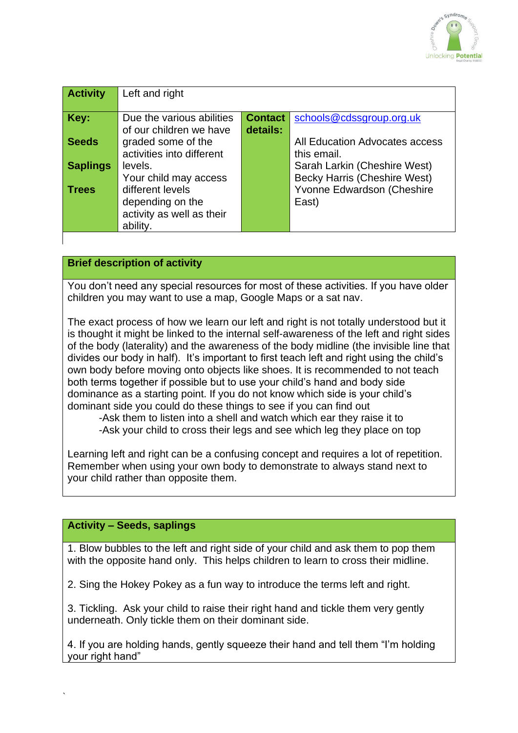

| <b>Activity</b> | Left and right            |                |                                     |
|-----------------|---------------------------|----------------|-------------------------------------|
|                 |                           |                |                                     |
| Key:            | Due the various abilities | <b>Contact</b> | schools@cdssgroup.org.uk            |
|                 | of our children we have   | details:       |                                     |
| Seeds           | graded some of the        |                | All Education Advocates access      |
|                 | activities into different |                | this email.                         |
| <b>Saplings</b> | levels.                   |                | Sarah Larkin (Cheshire West)        |
|                 | Your child may access     |                | <b>Becky Harris (Cheshire West)</b> |
| Trees           | different levels          |                | Yvonne Edwardson (Cheshire          |
|                 | depending on the          |                | East)                               |
|                 | activity as well as their |                |                                     |
|                 | ability.                  |                |                                     |

## **Brief description of activity**

You don't need any special resources for most of these activities. If you have older children you may want to use a map, Google Maps or a sat nav.

The exact process of how we learn our left and right is not totally understood but it is thought it might be linked to the internal self-awareness of the left and right sides of the body (laterality) and the awareness of the body midline (the invisible line that divides our body in half). It's important to first teach left and right using the child's own body before moving onto objects like shoes. It is recommended to not teach both terms together if possible but to use your child's hand and body side dominance as a starting point. If you do not know which side is your child's dominant side you could do these things to see if you can find out

-Ask them to listen into a shell and watch which ear they raise it to -Ask your child to cross their legs and see which leg they place on top

Learning left and right can be a confusing concept and requires a lot of repetition. Remember when using your own body to demonstrate to always stand next to your child rather than opposite them.

## **Activity – Seeds, saplings**

`

1. Blow bubbles to the left and right side of your child and ask them to pop them with the opposite hand only. This helps children to learn to cross their midline.

2. Sing the Hokey Pokey as a fun way to introduce the terms left and right.

3. Tickling. Ask your child to raise their right hand and tickle them very gently underneath. Only tickle them on their dominant side.

4. If you are holding hands, gently squeeze their hand and tell them "I'm holding your right hand"